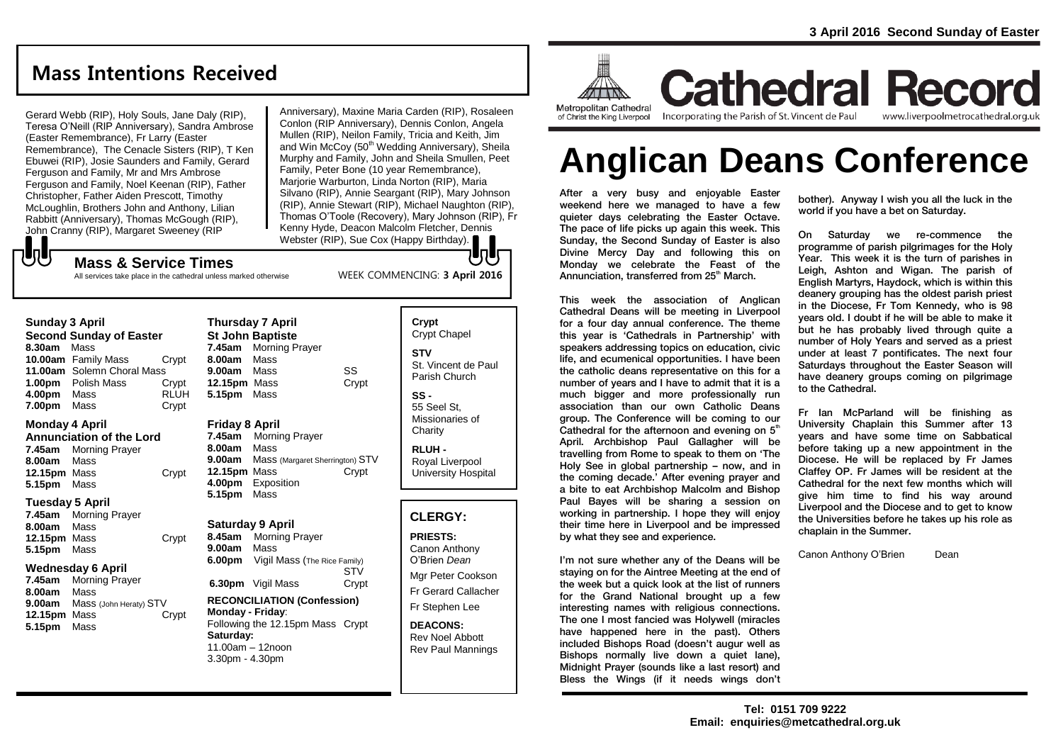# **Mass Intentions Received**

Gerard Webb (RIP), Holy Souls, Jane Daly (RIP), Teresa O'Neill (RIP Anniversary), Sandra Ambrose (Easter Remembrance), Fr Larry (Easter Remembrance), The Cenacle Sisters (RIP), T Ken Ebuwei (RIP), Josie Saunders and Family, Gerard Ferguson and Family, Mr and Mrs Ambrose Ferguson and Family, Noel Keenan (RIP), Father Christopher, Father Aiden Prescott, Timothy McLoughlin, Brothers John and Anthony, Lilian Rabbitt (Anniversary), Thomas McGough (RIP), John Cranny (RIP), Margaret Sweeney (RIP

Anniversary), Maxine Maria Carden (RIP), Rosaleen Conlon (RIP Anniversary), Dennis Conlon, Angela Mullen (RIP), Neilon Family, Tricia and Keith, Jim and Win McCoy (50<sup>th</sup> Wedding Anniversary), Sheila Murphy and Family, John and Sheila Smullen, Peet Family, Peter Bone (10 year Remembrance), Marjorie Warburton, Linda Norton (RIP), Maria Silvano (RIP), Annie Seargant (RIP), Mary Johnson (RIP), Annie Stewart (RIP), Michael Naughton (RIP), Thomas O'Toole (Recovery), Mary Johnson (RIP), Fr Kenny Hyde, Deacon Malcolm Fletcher, Dennis Webster (RIP), Sue Cox (Happy Birthday). Unly

WEEK COMMENCING: **3 April 2016**

# $-\sqrt{2}$ **Mass & Service Times**

All services take place in the cathedral unless marked otherwise

#### **Sunday 3 April Second Sunday of Easter 8.30am** Mass **10.00am** Family Mass Crypt

|                    | 11.00am Solemn Choral Mass |             |
|--------------------|----------------------------|-------------|
| 1.00 <sub>pm</sub> | Polish Mass                | Crypt       |
| 4.00pm             | Mass                       | <b>RLUH</b> |
| 7.00pm             | Mass                       | Crypt       |

#### **Monday 4 April**

**Annunciation of the Lord 7.45am** Morning Prayer **8.00am** Mass **12.15pm** Mass Crypt **5.15pm** Mass

#### **Tuesday 5 April**

| 7.45am       | <b>Morning Prayer</b> |       |
|--------------|-----------------------|-------|
| 8.00am       | Mass                  |       |
| 12.15pm Mass |                       | Crypt |
| 5.15pm Mass  |                       |       |

#### **Wednesday 6 April**

**7.45am** Morning Prayer **8.00am** Mass **9.00am** Mass (John Heraty) STV **12.15pm** Mass Crypt **5.15pm** Mass

**Thursday 7 April St John Baptiste 7.45am** Morning Prayer **8.00am** Mass **9.00am** Mass SS **12.15pm** Mass Crypt **5.15pm** Mass

## **Friday 8 April**

**7.45am** Morning Prayer **8.00am** Mass **9.00am** Mass (Margaret Sherrington) STV **12.15pm** Mass Crypt **4.00pm** Exposition **5.15pm** Mass

#### **Saturday 9 April**

**8.45am** Morning Prayer **9.00am** Mass **6.00pm** Vigil Mass (The Rice Family) STV<br>Crvpt **6.30pm** Vigil Mass

#### **RECONCILIATION (Confession) Monday - Friday**: Following the 12.15pm Mass Crypt

**Saturday:** 11.00am – 12noon 3.30pm - 4.30pm

| Crypt<br><b>Crypt Chapel</b>                      |
|---------------------------------------------------|
| STV<br>St. Vincent de Paul<br>Parish Church       |
| SS -<br>55 Seel St.<br>Missionaries of<br>Charity |

**RLUH -** Royal Liverpool University Hospital

# **CLERGY:**

**PRIESTS:** Canon Anthony O'Brien *Dean* Mgr Peter Cookson Fr Gerard Callacher Fr Stephen Lee

**DEACONS:** Rev Noel Abbott Rev Paul Mannings



**Cathedral Record** Incorporating the Parish of St. Vincent de Paul www.liverpoolmetrocathedral.org.uk

# **Anglican Deans Conference**

After a very busy and enjoyable Easter weekend here we managed to have a few quieter days celebrating the Easter Octave. The pace of life picks up again this week. This Sunday, the Second Sunday of Easter is also Divine Mercy Day and following this on Monday we celebrate the Feast of the Annunciation, transferred from 25<sup>th</sup> March.

This week the association of Anglican Cathedral Deans will be meeting in Liverpool for a four day annual conference. The theme this year is 'Cathedrals in Partnership' with speakers addressing topics on education, civic life, and ecumenical opportunities. I have been the catholic deans representative on this for a number of years and I have to admit that it is a much bigger and more professionally run association than our own Catholic Deans group. The Conference will be coming to our Cathedral for the afternoon and evening on  $5<sup>th</sup>$ April. Archbishop Paul Gallagher will be travelling from Rome to speak to them on 'The Holy See in global partnership – now, and in the coming decade.' After evening prayer and a bite to eat Archbishop Malcolm and Bishop Paul Bayes will be sharing a session on working in partnership. I hope they will enjoy their time here in Liverpool and be impressed by what they see and experience.

I'm not sure whether any of the Deans will be staying on for the Aintree Meeting at the end of the week but a quick look at the list of runners for the Grand National brought up a few interesting names with religious connections. The one I most fancied was Holywell (miracles have happened here in the past). Others included Bishops Road (doesn't augur well as Bishops normally live down a quiet lane), Midnight Prayer (sounds like a last resort) and Bless the Wings (if it needs wings don't

bother). Anyway I wish you all the luck in the world if you have a bet on Saturday.

On Saturday we re-commence the programme of parish pilgrimages for the Holy Year. This week it is the turn of parishes in Leigh, Ashton and Wigan. The parish of English Martyrs, Haydock, which is within this deanery grouping has the oldest parish priest in the Diocese, Fr Tom Kennedy, who is 98 years old. I doubt if he will be able to make it but he has probably lived through quite a number of Holy Years and served as a priest under at least 7 pontificates. The next four Saturdays throughout the Easter Season will have deanery groups coming on pilgrimage to the Cathedral.

Fr Ian McParland will be finishing as University Chaplain this Summer after 13 years and have some time on Sabbatical before taking up a new appointment in the Diocese. He will be replaced by Fr James Claffey OP. Fr James will be resident at the Cathedral for the next few months which will give him time to find his way around Liverpool and the Diocese and to get to know the Universities before he takes up his role as chaplain in the Summer.

Canon Anthony O'Brien Dean